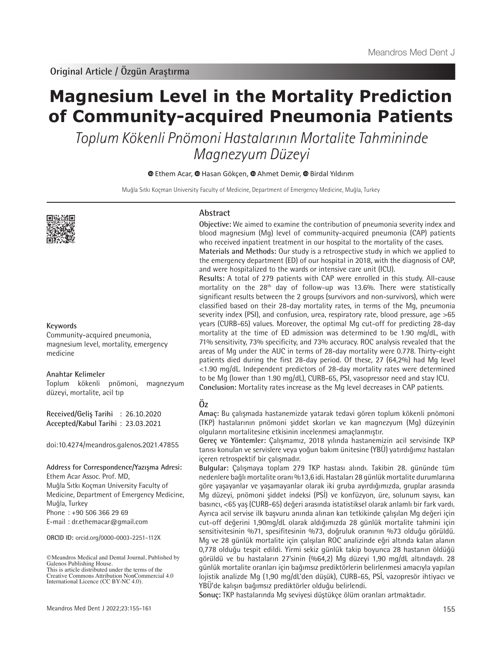# **Magnesium Level in the Mortality Prediction of Community-acquired Pneumonia Patients**

Toplum Kökenli Pnömoni Hastalarının Mortalite Tahmininde Magnezyum Düzeyi

**EthemAcar, @ Hasan Gökçen, @ Ahmet Demir, @ Birdal Yıldırım** 

Muğla Sıtkı Koçman University Faculty of Medicine, Department of Emergency Medicine, Muğla, Turkey



#### **Keywords**

Community-acquired pneumonia, magnesium level, mortality, emergency medicine

#### **Anahtar Kelimeler**

Toplum kökenli pnömoni, magnezyum düzeyi, mortalite, acil tıp

**Received/Geliş Tarihi** : 26.10.2020 **Accepted/Kabul Tarihi** : 23.03.2021

doi:10.4274/meandros.galenos.2021.47855

#### **Address for Correspondence/Yazışma Adresi:**

Ethem Acar Assoc. Prof. MD, Muğla Sıtkı Koçman University Faculty of Medicine, Department of Emergency Medicine, Muğla, Turkey Phone : +90 506 366 29 69 E-mail : dr.ethemacar@gmail.com

**ORCID ID:** orcid.org/0000-0003-2251-112X

©Meandros Medical and Dental Journal, Published by Galenos Publishing House. This is article distributed under the terms of the

#### **Abstract**

**Objective:** We aimed to examine the contribution of pneumonia severity index and blood magnesium (Mg) level of community-acquired pneumonia (CAP) patients who received inpatient treatment in our hospital to the mortality of the cases.

**Materials and Methods:** Our study is a retrospective study in which we applied to the emergency department (ED) of our hospital in 2018, with the diagnosis of CAP, and were hospitalized to the wards or intensive care unit (ICU).

**Results:** A total of 279 patients with CAP were enrolled in this study. All-cause mortality on the 28<sup>th</sup> day of follow-up was 13.6%. There were statistically significant results between the 2 groups (survivors and non-survivors), which were classified based on their 28-day mortality rates, in terms of the Mg, pneumonia severity index (PSI), and confusion, urea, respiratory rate, blood pressure, age >65 years (CURB-65) values. Moreover, the optimal Mg cut-off for predicting 28-day mortality at the time of ED admission was determined to be 1.90 mg/dL, with 71% sensitivity, 73% specificity, and 73% accuracy. ROC analysis revealed that the areas of Mg under the AUC in terms of 28-day mortality were 0.778. Thirty-eight patients died during the first 28-day period. Of these, 27 (64,2%) had Mg level <1.90 mg/dL. Independent predictors of 28-day mortality rates were determined to be Mg (lower than 1.90 mg/dL), CURB-65, PSI, vasopressor need and stay ICU. **Conclusion:** Mortality rates increase as the Mg level decreases in CAP patients.

# **Öz**

**Amaç:** Bu çalışmada hastanemizde yatarak tedavi gören toplum kökenli pnömoni (TKP) hastalarının pnömoni şiddet skorları ve kan magnezyum (Mg) düzeyinin olguların mortalitesine etkisinin incelenmesi amaçlanmıştır.

**Gereç ve Yöntemler:** Çalışmamız, 2018 yılında hastanemizin acil servisinde TKP tanısı konulan ve servislere veya yoğun bakım ünitesine (YBÜ) yatırdığımız hastaları içeren retrospektif bir çalışmadır.

**Bulgular:** Çalışmaya toplam 279 TKP hastası alındı. Takibin 28. gününde tüm nedenlere bağlı mortalite oranı %13,6 idi. Hastaları 28 günlük mortalite durumlarına göre yaşayanlar ve yaşamayanlar olarak iki gruba ayırdığımızda, gruplar arasında Mg düzeyi, pnömoni şiddet indeksi (PSİ) ve konfüzyon, üre, solunum sayısı, kan basıncı, <65 yaş (CURB-65) değeri arasında istatistiksel olarak anlamlı bir fark vardı. Ayrıca acil servise ilk başvuru anında alınan kan tetkikinde çalışılan Mg değeri için cut-off değerini 1,90mg/dL olarak aldığımızda 28 günlük mortalite tahmini için sensitivitesinin %71, spesifitesinin %73, doğruluk oranının %73 olduğu görüldü. Mg ve 28 günlük mortalite için çalışılan ROC analizinde eğri altında kalan alanın 0,778 olduğu tespit edildi. Yirmi sekiz günlük takip boyunca 28 hastanın öldüğü görüldü ve bu hastaların 27'sinin (%64,2) Mg düzeyi 1,90 mg/dL altındaydı. 28 günlük mortalite oranları için bağımsız prediktörlerin belirlenmesi amacıyla yapılan lojistik analizde Mg (1,90 mg/dL'den düşük), CURB-65, PSİ, vazopresör ihtiyacı ve YBÜ'de kalışın bağımsız prediktörler olduğu belirlendi.

**Sonuç:** TKP hastalarında Mg seviyesi düştükçe ölüm oranları artmaktadır.

Creative Commons Attribution NonCommercial 4.0 International Licence (CC BY-NC 4.0).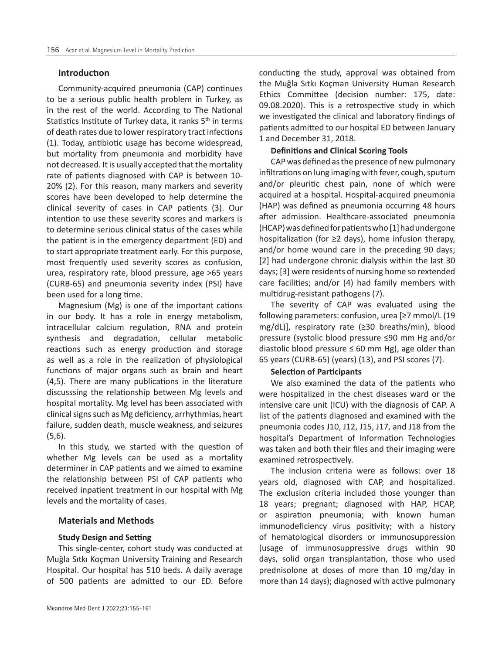#### **Introductıon**

Community-acquired pneumonia (CAP) continues to be a serious public health problem in Turkey, as in the rest of the world. According to The National Statistics Institute of Turkey data, it ranks  $5<sup>th</sup>$  in terms of death rates due to lower respiratory tract infections (1). Today, antibiotic usage has become widespread, but mortality from pneumonia and morbidity have not decreased. It is usually accepted that the mortality rate of patients diagnosed with CAP is between 10- 20% (2). For this reason, many markers and severity scores have been developed to help determine the clinical severity of cases in CAP patients (3). Our intention to use these severity scores and markers is to determine serious clinical status of the cases while the patient is in the emergency department (ED) and to start appropriate treatment early. For this purpose, most frequently used severity scores as confusion, urea, respiratory rate, blood pressure, age >65 years (CURB-65) and pneumonia severity index (PSI) have been used for a long time.

Magnesium (Mg) is one of the important cations in our body. It has a role in energy metabolism, intracellular calcium regulation, RNA and protein synthesis and degradation, cellular metabolic reactions such as energy production and storage as well as a role in the realization of physiological functions of major organs such as brain and heart (4,5). There are many publications in the literature discusssing the relationship between Mg levels and hospital mortality. Mg level has been associated with clinical signs such as Mg deficiency, arrhythmias, heart failure, sudden death, muscle weakness, and seizures (5,6).

In this study, we started with the question of whether Mg levels can be used as a mortality determiner in CAP patients and we aimed to examine the relationship between PSI of CAP patients who received inpatient treatment in our hospital with Mg levels and the mortality of cases.

# **Materials and Methods**

# **Study Design and Setting**

This single-center, cohort study was conducted at Muğla Sıtkı Koçman University Training and Research Hospital. Our hospital has 510 beds. A daily average of 500 patients are admitted to our ED. Before

conducting the study, approval was obtained from the Muğla Sıtkı Koçman University Human Research Ethics Committee (decision number: 175, date: 09.08.2020). This is a retrospective study in which we investigated the clinical and laboratory findings of patients admitted to our hospital ED between January 1 and December 31, 2018.

# **Definitions and Clinical Scoring Tools**

CAP was defined as the presence of new pulmonary infiltrations on lung imaging with fever, cough, sputum and/or pleuritic chest pain, none of which were acquired at a hospital. Hospital-acquired pneumonia (HAP) was defined as pneumonia occurring 48 hours after admission. Healthcare-associated pneumonia (HCAP) was defined for patients who [1] had undergone hospitalization (for ≥2 days), home infusion therapy, and/or home wound care in the preceding 90 days; [2] had undergone chronic dialysis within the last 30 days; [3] were residents of nursing home so rextended care facilities; and/or (4) had family members with multidrug-resistant pathogens (7).

The severity of CAP was evaluated using the following parameters: confusion, urea [≥7 mmol/L (19 mg/dL)], respiratory rate (≥30 breaths/min), blood pressure (systolic blood pressure ≤90 mm Hg and/or diastolic blood pressure  $\leq 60$  mm Hg), age older than 65 years (CURB-65) (years) (13), and PSI scores (7).

# **Selection of Participants**

We also examined the data of the patients who were hospitalized in the chest diseases ward or the intensive care unit (ICU) with the diagnosis of CAP. A list of the patients diagnosed and examined with the pneumonia codes J10, J12, J15, J17, and J18 from the hospital's Department of Information Technologies was taken and both their files and their imaging were examined retrospectively.

The inclusion criteria were as follows: over 18 years old, diagnosed with CAP, and hospitalized. The exclusion criteria included those younger than 18 years; pregnant; diagnosed with HAP, HCAP, or aspiration pneumonia; with known human immunodeficiency virus positivity; with a history of hematological disorders or immunosuppression (usage of immunosuppressive drugs within 90 days, solid organ transplantation, those who used prednisolone at doses of more than 10 mg/day in more than 14 days); diagnosed with active pulmonary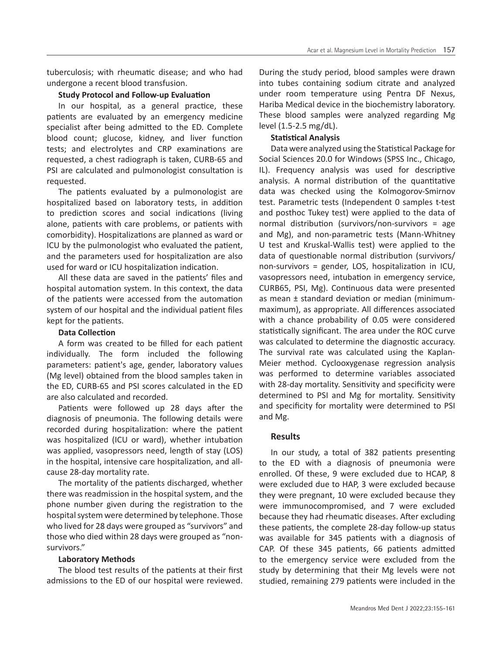tuberculosis; with rheumatic disease; and who had undergone a recent blood transfusion.

#### **Study Protocol and Follow-up Evaluation**

In our hospital, as a general practice, these patients are evaluated by an emergency medicine specialist after being admitted to the ED. Complete blood count; glucose, kidney, and liver function tests; and electrolytes and CRP examinations are requested, a chest radiograph is taken, CURB-65 and PSI are calculated and pulmonologist consultation is requested.

The patients evaluated by a pulmonologist are hospitalized based on laboratory tests, in addition to prediction scores and social indications (living alone, patients with care problems, or patients with comorbidity). Hospitalizations are planned as ward or ICU by the pulmonologist who evaluated the patient, and the parameters used for hospitalization are also used for ward or ICU hospitalization indication.

All these data are saved in the patients' files and hospital automation system. In this context, the data of the patients were accessed from the automation system of our hospital and the individual patient files kept for the patients.

# **Data Collection**

A form was created to be filled for each patient individually. The form included the following parameters: patient's age, gender, laboratory values (Mg level) obtained from the blood samples taken in the ED, CURB-65 and PSI scores calculated in the ED are also calculated and recorded.

Patients were followed up 28 days after the diagnosis of pneumonia. The following details were recorded during hospitalization: where the patient was hospitalized (ICU or ward), whether intubation was applied, vasopressors need, length of stay (LOS) in the hospital, intensive care hospitalization, and allcause 28-day mortality rate.

The mortality of the patients discharged, whether there was readmission in the hospital system, and the phone number given during the registration to the hospital system were determined by telephone. Those who lived for 28 days were grouped as "survivors" and those who died within 28 days were grouped as "nonsurvivors."

#### **Laboratory Methods**

The blood test results of the patients at their first admissions to the ED of our hospital were reviewed.

During the study period, blood samples were drawn into tubes containing sodium citrate and analyzed under room temperature using Pentra DF Nexus, Hariba Medical device in the biochemistry laboratory. These blood samples were analyzed regarding Mg level (1.5-2.5 mg/dL).

#### **Statistical Analysis**

Data were analyzed using the Statistical Package for Social Sciences 20.0 for Windows (SPSS Inc., Chicago, IL). Frequency analysis was used for descriptive analysis. A normal distribution of the quantitative data was checked using the Kolmogorov-Smirnov test. Parametric tests (Independent 0 samples t-test and posthoc Tukey test) were applied to the data of normal distribution (survivors/non-survivors = age and Mg), and non-parametric tests (Mann-Whitney U test and Kruskal-Wallis test) were applied to the data of questionable normal distribution (survivors/ non-survivors = gender, LOS, hospitalization in ICU, vasopressors need, intubation in emergency service, CURB65, PSI, Mg). Continuous data were presented as mean ± standard deviation or median (minimummaximum), as appropriate. All differences associated with a chance probability of 0.05 were considered statistically significant. The area under the ROC curve was calculated to determine the diagnostic accuracy. The survival rate was calculated using the Kaplan-Meier method. Cyclooxygenase regression analysis was performed to determine variables associated with 28-day mortality. Sensitivity and specificity were determined to PSI and Mg for mortality. Sensitivity and specificity for mortality were determined to PSI and Mg.

#### **Results**

In our study, a total of 382 patients presenting to the ED with a diagnosis of pneumonia were enrolled. Of these, 9 were excluded due to HCAP, 8 were excluded due to HAP, 3 were excluded because they were pregnant, 10 were excluded because they were immunocompromised, and 7 were excluded because they had rheumatic diseases. After excluding these patients, the complete 28-day follow-up status was available for 345 patients with a diagnosis of CAP. Of these 345 patients, 66 patients admitted to the emergency service were excluded from the study by determining that their Mg levels were not studied, remaining 279 patients were included in the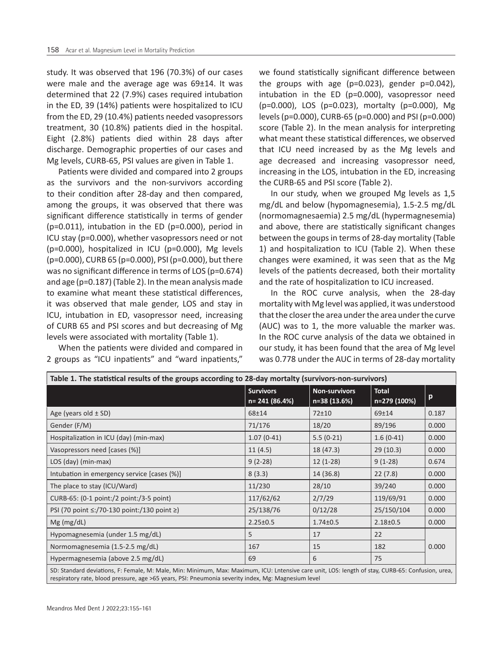study. It was observed that 196 (70.3%) of our cases were male and the average age was 69±14. It was determined that 22 (7.9%) cases required intubation in the ED, 39 (14%) patients were hospitalized to ICU from the ED, 29 (10.4%) patients needed vasopressors treatment, 30 (10.8%) patients died in the hospital. Eight (2.8%) patients died within 28 days after discharge. Demographic properties of our cases and Mg levels, CURB-65, PSI values are given in Table 1.

Patients were divided and compared into 2 groups as the survivors and the non-survivors according to their condition after 28-day and then compared, among the groups, it was observed that there was significant difference statistically in terms of gender (p=0.011), intubation in the ED (p=0.000), period in ICU stay (p=0.000), whether vasopressors need or not (p=0.000), hospitalized in ICU (p=0.000), Mg levels (p=0.000), CURB 65 (p=0.000), PSI (p=0.000), but there was no significant difference in terms of LOS (p=0.674) and age (p=0.187) (Table 2). In the mean analysis made to examine what meant these statistical differences, it was observed that male gender, LOS and stay in ICU, intubation in ED, vasopressor need, increasing of CURB 65 and PSI scores and but decreasing of Mg levels were associated with mortality (Table 1).

When the patients were divided and compared in 2 groups as "ICU inpatients" and "ward inpatients,"

respiratory rate, blood pressure, age >65 years, PSI: Pneumonia severity index, Mg: Magnesium level

we found statistically significant difference between the groups with age ( $p=0.023$ ), gender  $p=0.042$ ), intubation in the ED (p=0.000), vasopressor need (p=0.000), LOS (p=0.023), mortalty (p=0.000), Mg levels (p=0.000), CURB-65 (p=0.000) and PSI (p=0.000) score (Table 2). In the mean analysis for interpreting what meant these statistical differences, we observed that ICU need increased by as the Mg levels and age decreased and increasing vasopressor need, increasing in the LOS, intubation in the ED, increasing the CURB-65 and PSI score (Table 2).

In our study, when we grouped Mg levels as 1,5 mg/dL and below (hypomagnesemia), 1.5-2.5 mg/dL (normomagnesaemia) 2.5 mg/dL (hypermagnesemia) and above, there are statistically significant changes between the goups in terms of 28-day mortality (Table 1) and hospitalization to ICU (Table 2). When these changes were examined, it was seen that as the Mg levels of the patients decreased, both their mortality and the rate of hospitalization to ICU increased.

In the ROC curve analysis, when the 28-day mortality with Mg level was applied, it was understood that the closer the area under the area under the curve (AUC) was to 1, the more valuable the marker was. In the ROC curve analysis of the data we obtained in our study, it has been found that the area of Mg level was 0.778 under the AUC in terms of 28-day mortality

| Table 1. The statistical results of the groups according to 28-day mortalty (survivors-non-survivors)                                             |                                    |                                      |                              |       |  |  |
|---------------------------------------------------------------------------------------------------------------------------------------------------|------------------------------------|--------------------------------------|------------------------------|-------|--|--|
|                                                                                                                                                   | <b>Survivors</b><br>n= 241 (86.4%) | <b>Non-survivors</b><br>n=38 (13.6%) | <b>Total</b><br>n=279 (100%) | p     |  |  |
| Age (years old $\pm$ SD)                                                                                                                          | 68±14                              | $72 + 10$                            | $69 + 14$                    | 0.187 |  |  |
| Gender (F/M)                                                                                                                                      | 71/176                             | 18/20                                | 89/196                       | 0.000 |  |  |
| Hospitalization in ICU (day) (min-max)                                                                                                            | $1.07(0-41)$                       | $5.5(0-21)$                          | $1.6(0-41)$                  | 0.000 |  |  |
| Vasopressors need [cases (%)]                                                                                                                     | 11(4.5)                            | 18 (47.3)                            | 29(10.3)                     | 0.000 |  |  |
| LOS (day) (min-max)                                                                                                                               | $9(2-28)$                          | $12(1-28)$                           | $9(1-28)$                    | 0.674 |  |  |
| Intubation in emergency service [cases (%)]                                                                                                       | 8(3.3)                             | 14 (36.8)                            | 22(7.8)                      | 0.000 |  |  |
| The place to stay (ICU/Ward)                                                                                                                      | 11/230                             | 28/10                                | 39/240                       | 0.000 |  |  |
| CURB-65: (0-1 point:/2 point:/3-5 point)                                                                                                          | 117/62/62                          | 2/7/29                               | 119/69/91                    | 0.000 |  |  |
| PSI (70 point ≤:/70-130 point:/130 point ≥)                                                                                                       | 25/138/76                          | 0/12/28                              | 25/150/104                   | 0.000 |  |  |
| $Mg$ (mg/dL)                                                                                                                                      | $2.25 \pm 0.5$                     | $1.74 \pm 0.5$                       | $2.18 \pm 0.5$               | 0.000 |  |  |
| Hypomagnesemia (under 1.5 mg/dL)                                                                                                                  | 5                                  | 17                                   | 22                           |       |  |  |
| Normomagnesemia (1.5-2.5 mg/dL)                                                                                                                   | 167                                | 15                                   | 182                          | 0.000 |  |  |
| Hypermagnesemia (above 2.5 mg/dL)                                                                                                                 | 69                                 | 6                                    | 75                           |       |  |  |
| SD: Standard deviations, F: Female, M: Male, Min: Minimum, Max: Maximum, ICU: Lntensive care unit, LOS: length of stay, CURB-65: Confusion, urea, |                                    |                                      |                              |       |  |  |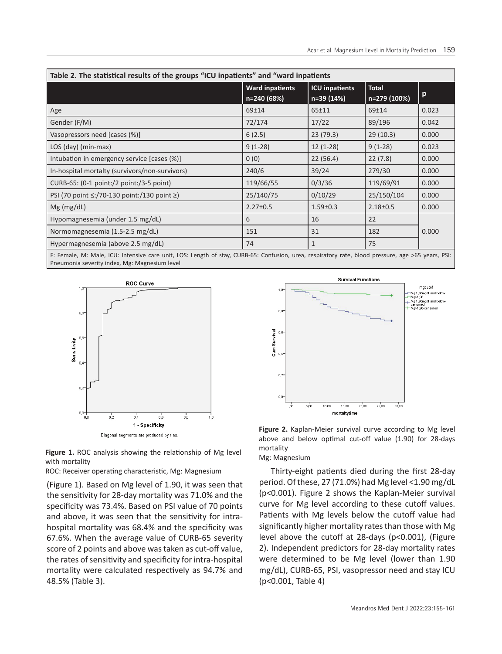| Table 2. The statistical results of the groups "ICU inpatients" and "ward inpatients |                                       |                                     |                              |       |  |  |
|--------------------------------------------------------------------------------------|---------------------------------------|-------------------------------------|------------------------------|-------|--|--|
|                                                                                      | <b>Ward inpatients</b><br>n=240 (68%) | <b>ICU inpatients</b><br>n=39 (14%) | <b>Total</b><br>n=279 (100%) | p     |  |  |
| Age                                                                                  | $69 + 14$                             | $65 + 11$                           | 69±14                        | 0.023 |  |  |
| Gender (F/M)                                                                         | 72/174                                | 17/22                               | 89/196                       | 0.042 |  |  |
| Vasopressors need [cases (%)]                                                        | 6(2.5)                                | 23(79.3)                            | 29(10.3)                     | 0.000 |  |  |
| LOS (day) (min-max)                                                                  | $9(1-28)$                             | $12(1-28)$                          | $9(1-28)$                    | 0.023 |  |  |
| Intubation in emergency service [cases (%)]                                          | 0(0)                                  | 22(56.4)                            | 22(7.8)                      | 0.000 |  |  |
| In-hospital mortalty (survivors/non-survivors)                                       | 240/6                                 | 39/24                               | 279/30                       | 0.000 |  |  |
| CURB-65: (0-1 point:/2 point:/3-5 point)                                             | 119/66/55                             | 0/3/36                              | 119/69/91                    | 0.000 |  |  |
| PSI (70 point ≤:/70-130 point:/130 point ≥)                                          | 25/140/75                             | 0/10/29                             | 25/150/104                   | 0.000 |  |  |
| $Mg$ (mg/dL)                                                                         | $2.27 \pm 0.5$                        | $1.59 \pm 0.3$                      | $2.18 \pm 0.5$               | 0.000 |  |  |
| Hypomagnesemia (under 1.5 mg/dL)                                                     | 6                                     | 16                                  | 22                           |       |  |  |
| Normomagnesemia (1.5-2.5 mg/dL)                                                      | 151                                   | 31                                  | 182                          | 0.000 |  |  |
| Hypermagnesemia (above 2.5 mg/dL)                                                    | 74                                    | 1                                   | 75                           |       |  |  |

F: Female, M: Male, ICU: Intensive care unit, LOS: Length of stay, CURB-65: Confusion, urea, respiratory rate, blood pressure, age >65 years, PSI: Pneumonia severity index, Mg: Magnesium level



Diagonal segments are produced by ties.

**Figure 1.** ROC analysis showing the relationship of Mg level with mortality

ROC: Receiver operating characteristic, Mg: Magnesium

(Figure 1). Based on Mg level of 1.90, it was seen that the sensitivity for 28-day mortality was 71.0% and the specificity was 73.4%. Based on PSI value of 70 points and above, it was seen that the sensitivity for intrahospital mortality was 68.4% and the specificity was 67.6%. When the average value of CURB-65 severity score of 2 points and above was taken as cut-off value, the rates of sensitivity and specificity for intra-hospital mortality were calculated respectively as 94.7% and 48.5% (Table 3).



**Figure 2.** Kaplan-Meier survival curve according to Mg level above and below optimal cut-off value (1.90) for 28-days mortality Mg: Magnesium

Thirty-eight patients died during the first 28-day period. Of these, 27 (71.0%) had Mg level <1.90 mg/dL (p<0.001). Figure 2 shows the Kaplan-Meier survival curve for Mg level according to these cutoff values. Patients with Mg levels below the cutoff value had significantly higher mortality rates than those with Mg level above the cutoff at 28-days (p<0.001), (Figure 2). Independent predictors for 28-day mortality rates were determined to be Mg level (lower than 1.90 mg/dL), CURB-65, PSI, vasopressor need and stay ICU (p<0.001, Table 4)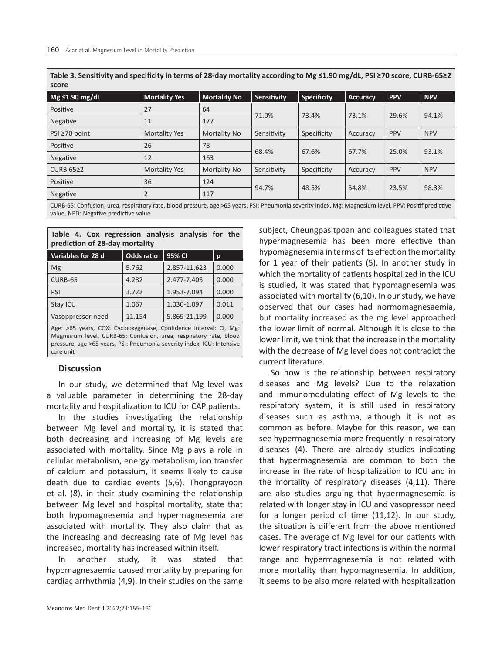**Table 3. Sensitivity and specificity in terms of 28-day mortality according to Mg ≤1.90 mg/dL, PSI ≥70 score, CURB-65≥2 score**

| $Mg \leq 1.90$ mg/dL                                                                                                                         | <b>Mortality Yes</b> | <b>Mortality No</b> | <b>Sensitivity</b> | Specificity | Accuracy | <b>PPV</b> | <b>NPV</b> |
|----------------------------------------------------------------------------------------------------------------------------------------------|----------------------|---------------------|--------------------|-------------|----------|------------|------------|
| Positive                                                                                                                                     | 27                   | 64                  | 71.0%              | 73.4%       | 73.1%    | 29.6%      | 94.1%      |
| Negative                                                                                                                                     | 11                   | 177                 |                    |             |          |            |            |
| PSI ≥70 point                                                                                                                                | <b>Mortality Yes</b> | Mortality No        | Sensitivity        | Specificity | Accuracy | <b>PPV</b> | <b>NPV</b> |
| Positive                                                                                                                                     | 26                   | 78                  | 68.4%              | 67.6%       | 67.7%    | 25.0%      | 93.1%      |
| Negative                                                                                                                                     | 12                   | 163                 |                    |             |          |            |            |
| CURB $65\geq2$                                                                                                                               | Mortality Yes        | Mortality No        | Sensitivity        | Specificity | Accuracy | <b>PPV</b> | <b>NPV</b> |
| Positive                                                                                                                                     | 36                   | 124                 | 94.7%              | 48.5%       | 54.8%    | 23.5%      | 98.3%      |
| Negative                                                                                                                                     |                      | 117                 |                    |             |          |            |            |
| CUPP EE: Confucion usos recointonisto blood pressure 200 SEE voors DCU Proumania soverity indov. May Magnesium lovel DDV: Docttif prodictive |                      |                     |                    |             |          |            |            |

RB-65: Confusion, urea, respiratory rate, blood pressure, age >65 years, PSI: Pneumonia severity index, Mg: Magnesium level, PPV: Positif predictive value, NPD: Negative predictive value

**Table 4. Cox regression analysis analysis for the prediction of 28-day mortality** 

| Variables for 28 d                                                | <b>Odds ratio</b> | 95% CI       | p     |  |  |
|-------------------------------------------------------------------|-------------------|--------------|-------|--|--|
| Mg                                                                | 5.762             | 2.857-11.623 | 0.000 |  |  |
| CURB-65                                                           | 4.282             | 2.477-7.405  | 0.000 |  |  |
| PSI                                                               | 3.722             | 1.953-7.094  | 0.000 |  |  |
| Stay ICU                                                          | 1.067             | 1.030-1.097  | 0.011 |  |  |
| Vasoppressor need                                                 | 11.154            | 5.869-21.199 | 0.000 |  |  |
| Age: >65 years, COX: Cyclooxygenase, Confidence interval: CI, Mg: |                   |              |       |  |  |

Magnesium level, CURB-65: Confusion, urea, respiratory rate, blood pressure, age >65 years, PSI: Pneumonia severity index, ICU: Intensive care unit

# **Discussion**

In our study, we determined that Mg level was a valuable parameter in determining the 28-day mortality and hospitalization to ICU for CAP patients.

In the studies investigating the relationship between Mg level and mortality, it is stated that both decreasing and increasing of Mg levels are associated with mortality. Since Mg plays a role in cellular metabolism, energy metabolism, ion transfer of calcium and potassium, it seems likely to cause death due to cardiac events (5,6). Thongprayoon et al. (8), in their study examining the relationship between Mg level and hospital mortality, state that both hypomagnesemia and hypermagnesemia are associated with mortality. They also claim that as the increasing and decreasing rate of Mg level has increased, mortality has increased within itself.

In another study, it was stated that hypomagnesaemia caused mortality by preparing for cardiac arrhythmia (4,9). In their studies on the same

Meandros Med Dent J 2022;23:155-161

subject, Cheungpasitpoan and colleagues stated that hypermagnesemia has been more effective than hypomagnesemia in terms of its effect on the mortality for 1 year of their patients (5). In another study in which the mortality of patients hospitalized in the ICU is studied, it was stated that hypomagnesemia was associated with mortality (6,10). In our study, we have observed that our cases had normomagnesaemia, but mortality increased as the mg level approached the lower limit of normal. Although it is close to the lower limit, we think that the increase in the mortality with the decrease of Mg level does not contradict the current literature.

So how is the relationship between respiratory diseases and Mg levels? Due to the relaxation and immunomodulating effect of Mg levels to the respiratory system, it is still used in respiratory diseases such as asthma, although it is not as common as before. Maybe for this reason, we can see hypermagnesemia more frequently in respiratory diseases (4). There are already studies indicating that hypermagnesemia are common to both the increase in the rate of hospitalization to ICU and in the mortality of respiratory diseases (4,11). There are also studies arguing that hypermagnesemia is related with longer stay in ICU and vasopressor need for a longer period of time (11,12). In our study, the situation is different from the above mentioned cases. The average of Mg level for our patients with lower respiratory tract infections is within the normal range and hypermagnesemia is not related with more mortality than hypomagnesemia. In addition, it seems to be also more related with hospitalization